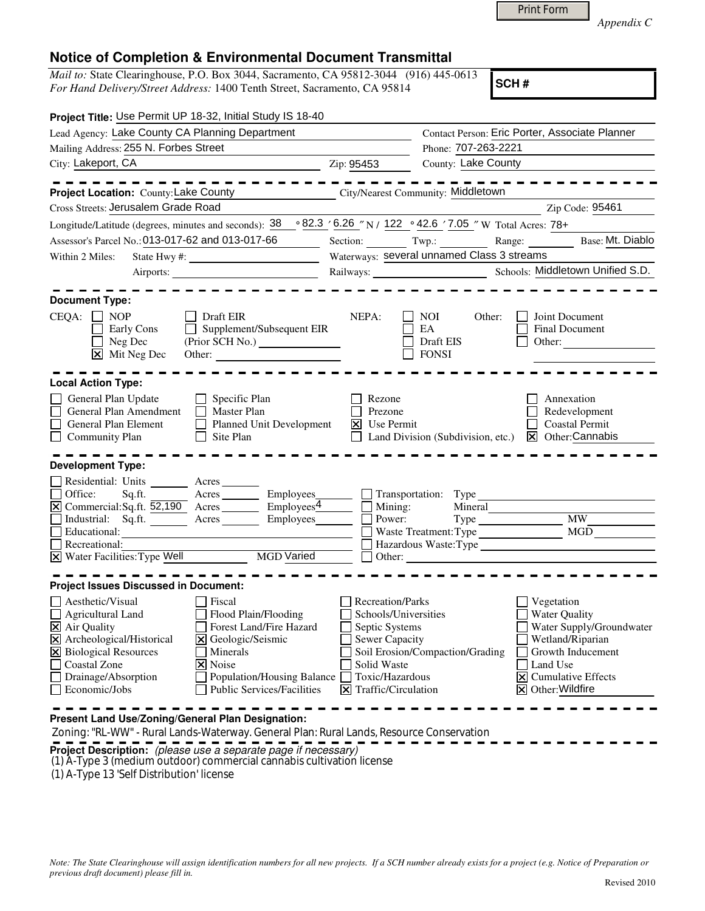*Appendix C* 

## **Notice of Completion & Environmental Document Transmittal**

*Mail to:* State Clearinghouse, P.O. Box 3044, Sacramento, CA 95812-3044 (916) 445-0613 *For Hand Delivery/Street Address:* 1400 Tenth Street, Sacramento, CA 95814

**SCH #**

| Project Title: Use Permit UP 18-32, Initial Study IS 18-40                                                                     |                                                                                                                      |                            |                                            |                                                |
|--------------------------------------------------------------------------------------------------------------------------------|----------------------------------------------------------------------------------------------------------------------|----------------------------|--------------------------------------------|------------------------------------------------|
| Lead Agency: Lake County CA Planning Department                                                                                |                                                                                                                      |                            |                                            | Contact Person: Eric Porter, Associate Planner |
| Mailing Address: 255 N. Forbes Street                                                                                          |                                                                                                                      | Phone: 707-263-2221        |                                            |                                                |
| City: Lakeport, CA<br><u> 1989 - Johann Stoff, Amerikaansk politiker (</u>                                                     |                                                                                                                      | Zip: 95453                 | County: Lake County                        |                                                |
|                                                                                                                                |                                                                                                                      |                            |                                            | --------                                       |
| Project Location: County: Lake County                                                                                          |                                                                                                                      |                            | City/Nearest Community: Middletown         |                                                |
| Cross Streets: Jerusalem Grade Road                                                                                            |                                                                                                                      |                            |                                            | Zip Code: 95461                                |
| Longitude/Latitude (degrees, minutes and seconds): $38 \cdot 82.3 \cdot 6.26$ "N / 122 $\cdot$ 42.6 '7.05 " W Total Acres: 78+ |                                                                                                                      |                            |                                            |                                                |
| Assessor's Parcel No.: 013-017-62 and 013-017-66                                                                               |                                                                                                                      |                            | Section: Twp.:                             | Range:<br>Base: Mt. Diablo                     |
| $\sim 10^{11}$ m $^{-1}$<br>Within 2 Miles:                                                                                    |                                                                                                                      |                            | Waterways: several unnamed Class 3 streams |                                                |
|                                                                                                                                |                                                                                                                      |                            |                                            |                                                |
|                                                                                                                                |                                                                                                                      |                            |                                            |                                                |
| <b>Document Type:</b>                                                                                                          |                                                                                                                      |                            |                                            |                                                |
| $CEQA: \Box NOP$                                                                                                               | Draft EIR                                                                                                            | NEPA:                      | NOI<br>Other:                              | Joint Document                                 |
| Early Cons                                                                                                                     | Supplement/Subsequent EIR                                                                                            |                            | EA                                         | Final Document                                 |
| Neg Dec                                                                                                                        |                                                                                                                      |                            | Draft EIS                                  | Other:                                         |
| $\mathbf{\times}$ Mit Neg Dec                                                                                                  | Other:                                                                                                               |                            | <b>FONSI</b>                               |                                                |
|                                                                                                                                |                                                                                                                      |                            |                                            |                                                |
| <b>Local Action Type:</b>                                                                                                      |                                                                                                                      |                            |                                            |                                                |
| General Plan Update                                                                                                            | $\Box$ Specific Plan                                                                                                 | Rezone                     |                                            | Annexation                                     |
| General Plan Amendment                                                                                                         | $\Box$ Master Plan                                                                                                   | $\mathbf{I}$<br>Prezone    |                                            | Redevelopment                                  |
| General Plan Element                                                                                                           | Planned Unit Development                                                                                             | $X$ Use Permit             |                                            | <b>Coastal Permit</b>                          |
| $\Box$ Community Plan                                                                                                          | $\Box$<br>Site Plan                                                                                                  |                            | Land Division (Subdivision, etc.)          | $\boxtimes$ Other: Cannabis                    |
| <b>Development Type:</b>                                                                                                       |                                                                                                                      |                            |                                            |                                                |
|                                                                                                                                |                                                                                                                      |                            |                                            |                                                |
| Residential: Units ________ Acres<br>Office:<br>Sq.ft.                                                                         | Acres Employees Transportation: Type                                                                                 |                            |                                            |                                                |
| $\boxed{\times}$ Commercial:Sq.ft. 52,190 Acres Employees Employees $\boxed{\phantom{2} \square}$                              |                                                                                                                      |                            | Mining:<br>Mineral                         |                                                |
| Industrial: Sq.ft. Acres Employees                                                                                             |                                                                                                                      | Power:                     |                                            | <b>MW</b>                                      |
| Educational:                                                                                                                   | <u> 1980 - Jan Stein Stein Stein Stein Stein Stein Stein Stein Stein Stein Stein Stein Stein Stein Stein Stein S</u> |                            | Waste Treatment: Type                      | MGD                                            |
| Recreational:                                                                                                                  |                                                                                                                      |                            |                                            |                                                |
| X Water Facilities: Type Well MGD Varied                                                                                       |                                                                                                                      |                            |                                            | Other:                                         |
|                                                                                                                                |                                                                                                                      |                            |                                            |                                                |
| <b>Project Issues Discussed in Document:</b>                                                                                   |                                                                                                                      |                            |                                            |                                                |
| Aesthetic/Visual                                                                                                               | Fiscal                                                                                                               | <b>Recreation/Parks</b>    |                                            | Vegetation                                     |
| Agricultural Land                                                                                                              | Flood Plain/Flooding                                                                                                 | Schools/Universities       |                                            | <b>Water Quality</b>                           |
| $\overline{\mathbf{X}}$ Air Quality                                                                                            | Forest Land/Fire Hazard                                                                                              | $\Box$ Septic Systems      |                                            | Water Supply/Groundwater                       |
| X Archeological/Historical                                                                                                     | X Geologic/Seismic                                                                                                   | Sewer Capacity             |                                            | Wetland/Riparian                               |
| <b>X</b> Biological Resources                                                                                                  | Minerals                                                                                                             |                            | Soil Erosion/Compaction/Grading            | Growth Inducement                              |
| Coastal Zone                                                                                                                   | $\times$ Noise                                                                                                       | Solid Waste                |                                            | Land Use                                       |
| Drainage/Absorption                                                                                                            | Population/Housing Balance                                                                                           | Toxic/Hazardous            |                                            | <b>Cumulative Effects</b><br>l×l               |
| Economic/Jobs                                                                                                                  | <b>Public Services/Facilities</b>                                                                                    | Traffic/Circulation<br>l×l |                                            | $\boxtimes$ Other: Wildfire                    |
|                                                                                                                                |                                                                                                                      |                            |                                            |                                                |
| Present Land Use/Zoning/General Plan Designation:                                                                              |                                                                                                                      |                            |                                            |                                                |

Zoning: "RL-WW" - Rural Lands-Waterway. General Plan: Rural Lands, Resource Conservation

**Project Description:** (please use a separate page if necessary)

(1) A-Type 3 (medium outdoor) commercial cannabis cultivation license

(1) A-Type 13 'Self Distribution' license